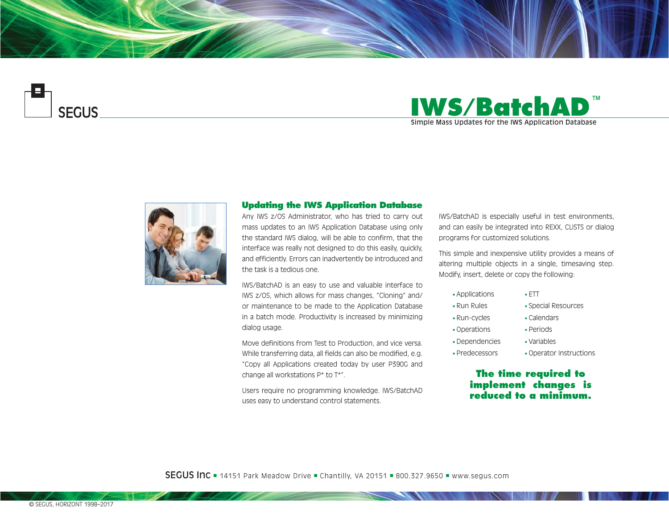





## **Updating the IWS Application Database**

Any IWS z/OS Administrator, who has tried to carry out mass updates to an IWS Application Database using only the standard IWS dialog, will be able to confirm, that the interface was really not designed to do this easily, quickly, and efficiently. Errors can inadvertently be introduced and the task is a tedious one.

IWS/BatchAD is an easy to use and valuable interface to IWS z/OS, which allows for mass changes, "Cloning" and/ or maintenance to be made to the Application Database in a batch mode. Productivity is increased by minimizing dialog usage.

Move definitions from Test to Production, and vice versa. While transferring data, all fields can also be modified, e.g. "Copy all Applications created today by user P390G and change all workstations P\* to T\*".

Users require no programming knowledge. IWS/BatchAD uses easy to understand control statements.

IWS/BatchAD is especially useful in test environments, and can easily be integrated into REXX, CLISTS or dialog programs for customized solutions.

This simple and inexpensive utility provides a means of altering multiple objects in a single, timesaving step. Modify, insert, delete or copy the following:

• ETT

• Applications

• Run Rules

• Operations

• Special Resources

• Calendars

- Run-cycles
	- Periods
- Dependencies • Variables
- Predecessors
- Operator Instructions

# **The time required to implement changes is reduced to a minimum.**

**SEGUS Inc**  $=$  14151 Park Meadow Drive  $=$  Chantilly, VA 20151  $=$  800.327.9650  $=$  www.segus.com